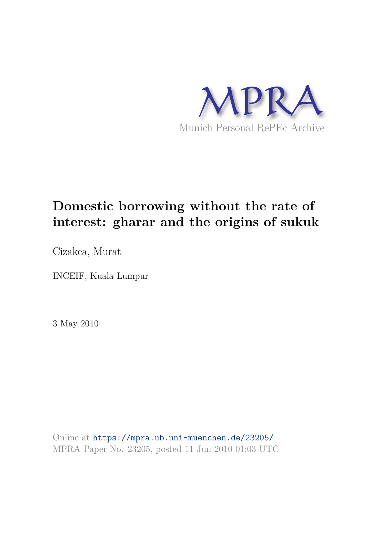

# **Domestic borrowing without the rate of interest: gharar and the origins of sukuk**

Cizakca, Murat

INCEIF, Kuala Lumpur

3 May 2010

Online at https://mpra.ub.uni-muenchen.de/23205/ MPRA Paper No. 23205, posted 11 Jun 2010 01:03 UTC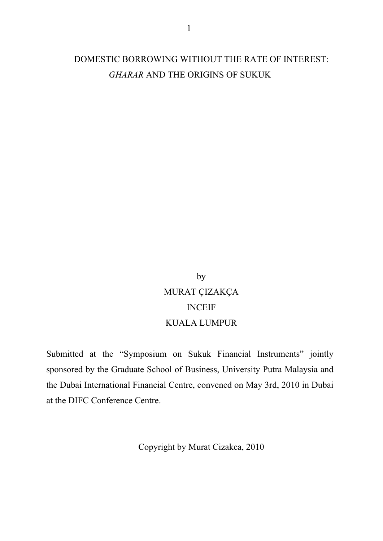### DOMESTIC BORROWING WITHOUT THE RATE OF INTEREST: *GHARAR* AND THE ORIGINS OF SUKUK

## by MURAT ÇIZAKÇA INCEIF KUALA LUMPUR

Submitted at the "Symposium on Sukuk Financial Instruments" jointly sponsored by the Graduate School of Business, University Putra Malaysia and the Dubai International Financial Centre, convened on May 3rd, 2010 in Dubai at the DIFC Conference Centre.

Copyright by Murat Cizakca, 2010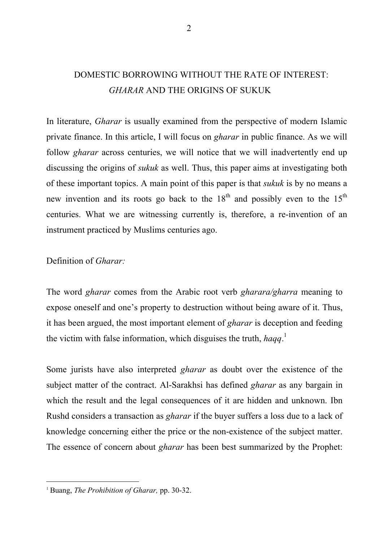### DOMESTIC BORROWING WITHOUT THE RATE OF INTEREST: *GHARAR* AND THE ORIGINS OF SUKUK

In literature, *Gharar* is usually examined from the perspective of modern Islamic private finance. In this article, I will focus on *gharar* in public finance. As we will follow *gharar* across centuries, we will notice that we will inadvertently end up discussing the origins of *sukuk* as well. Thus, this paper aims at investigating both of these important topics. A main point of this paper is that *sukuk* is by no means a new invention and its roots go back to the  $18<sup>th</sup>$  and possibly even to the  $15<sup>th</sup>$ centuries. What we are witnessing currently is, therefore, a re-invention of an instrument practiced by Muslims centuries ago.

Definition of *Gharar:* 

The word *gharar* comes from the Arabic root verb *gharara/gharra* meaning to expose oneself and one's property to destruction without being aware of it. Thus, it has been argued, the most important element of *gharar* is deception and feeding the victim with false information, which disguises the truth, *haqq*. 1

Some jurists have also interpreted *gharar* as doubt over the existence of the subject matter of the contract. Al-Sarakhsi has defined *gharar* as any bargain in which the result and the legal consequences of it are hidden and unknown. Ibn Rushd considers a transaction as *gharar* if the buyer suffers a loss due to a lack of knowledge concerning either the price or the non-existence of the subject matter. The essence of concern about *gharar* has been best summarized by the Prophet:

<sup>1</sup> Buang, *The Prohibition of Gharar,* pp. 30-32.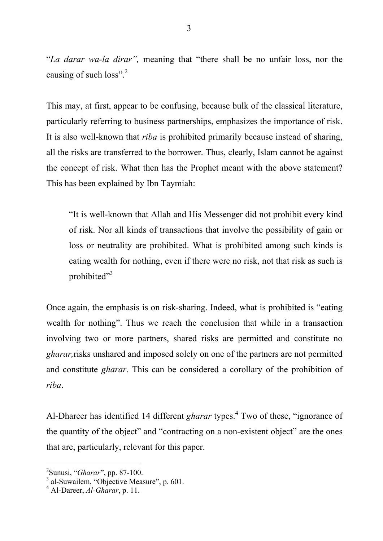"*La darar wa-la dirar",* meaning that "there shall be no unfair loss, nor the causing of such loss".<sup>2</sup>

This may, at first, appear to be confusing, because bulk of the classical literature, particularly referring to business partnerships, emphasizes the importance of risk. It is also well-known that *riba* is prohibited primarily because instead of sharing, all the risks are transferred to the borrower. Thus, clearly, Islam cannot be against the concept of risk. What then has the Prophet meant with the above statement? This has been explained by Ibn Taymiah:

"It is well-known that Allah and His Messenger did not prohibit every kind of risk. Nor all kinds of transactions that involve the possibility of gain or loss or neutrality are prohibited. What is prohibited among such kinds is eating wealth for nothing, even if there were no risk, not that risk as such is prohibited"<sup>3</sup>

Once again, the emphasis is on risk-sharing. Indeed, what is prohibited is "eating wealth for nothing". Thus we reach the conclusion that while in a transaction involving two or more partners, shared risks are permitted and constitute no *gharar,*risks unshared and imposed solely on one of the partners are not permitted and constitute *gharar*. This can be considered a corollary of the prohibition of *riba*.

Al-Dhareer has identified 14 different *gharar* types.<sup>4</sup> Two of these, "ignorance of the quantity of the object" and "contracting on a non-existent object" are the ones that are, particularly, relevant for this paper.

<sup>&</sup>lt;sup>2</sup><br><sup>2</sup>Sunusi, "*Gharar*", pp. 87-100.<br><sup>3</sup> al-Suwailem, "Objective Measure", p. 601.

<sup>4</sup> Al-Dareer, *Al-Gharar*, p. 11.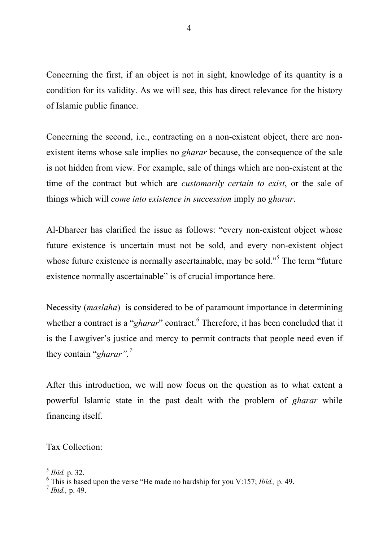Concerning the first, if an object is not in sight, knowledge of its quantity is a condition for its validity. As we will see, this has direct relevance for the history of Islamic public finance.

Concerning the second, i.e., contracting on a non-existent object, there are nonexistent items whose sale implies no *gharar* because, the consequence of the sale is not hidden from view. For example, sale of things which are non-existent at the time of the contract but which are *customarily certain to exist*, or the sale of things which will *come into existence in succession* imply no *gharar*.

Al-Dhareer has clarified the issue as follows: "every non-existent object whose future existence is uncertain must not be sold, and every non-existent object whose future existence is normally ascertainable, may be sold."<sup>5</sup> The term "future" existence normally ascertainable" is of crucial importance here.

Necessity (*maslaha*) is considered to be of paramount importance in determining whether a contract is a "*gharar*" contract.<sup>6</sup> Therefore, it has been concluded that it is the Lawgiver's justice and mercy to permit contracts that people need even if they contain "*gharar".<sup>7</sup>*

After this introduction, we will now focus on the question as to what extent a powerful Islamic state in the past dealt with the problem of *gharar* while financing itself.

Tax Collection:

<sup>-</sup>5 *Ibid.* p. 32.

<sup>6</sup> This is based upon the verse "He made no hardship for you V:157; *Ibid.,* p. 49.

<sup>7</sup> *Ibid.,* p. 49.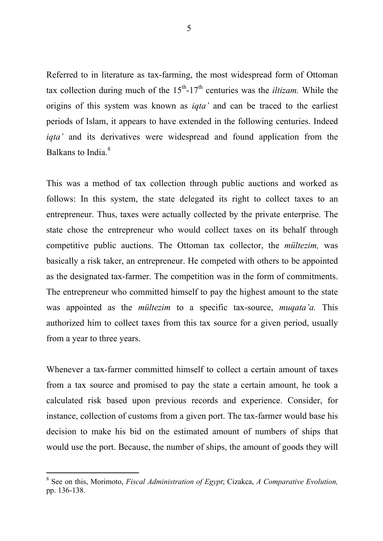Referred to in literature as tax-farming, the most widespread form of Ottoman tax collection during much of the  $15<sup>th</sup>$ -17<sup>th</sup> centuries was the *iltizam*. While the origins of this system was known as *iqta'* and can be traced to the earliest periods of Islam, it appears to have extended in the following centuries. Indeed *igta'* and its derivatives were widespread and found application from the Balkans to India.<sup>8</sup>

This was a method of tax collection through public auctions and worked as follows: In this system, the state delegated its right to collect taxes to an entrepreneur. Thus, taxes were actually collected by the private enterprise. The state chose the entrepreneur who would collect taxes on its behalf through competitive public auctions. The Ottoman tax collector, the *mültezim,* was basically a risk taker, an entrepreneur. He competed with others to be appointed as the designated tax-farmer. The competition was in the form of commitments. The entrepreneur who committed himself to pay the highest amount to the state was appointed as the *mültezim* to a specific tax-source, *muqata'a.* This authorized him to collect taxes from this tax source for a given period, usually from a year to three years.

Whenever a tax-farmer committed himself to collect a certain amount of taxes from a tax source and promised to pay the state a certain amount, he took a calculated risk based upon previous records and experience. Consider, for instance, collection of customs from a given port. The tax-farmer would base his decision to make his bid on the estimated amount of numbers of ships that would use the port. Because, the number of ships, the amount of goods they will

 8 See on this, Morimoto, *Fiscal Administration of Egypt*; Cizakca, *A Comparative Evolution,*  pp. 136-138.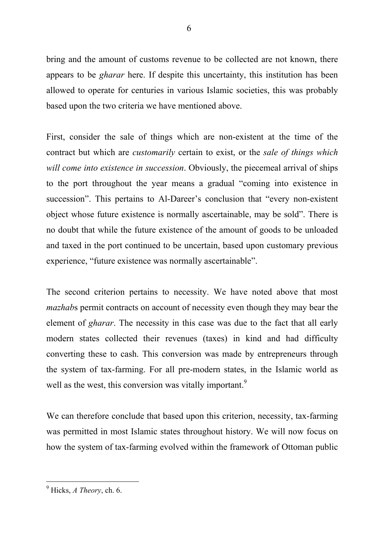bring and the amount of customs revenue to be collected are not known, there appears to be *gharar* here. If despite this uncertainty, this institution has been allowed to operate for centuries in various Islamic societies, this was probably based upon the two criteria we have mentioned above.

First, consider the sale of things which are non-existent at the time of the contract but which are *customarily* certain to exist, or the *sale of things which will come into existence in succession*. Obviously, the piecemeal arrival of ships to the port throughout the year means a gradual "coming into existence in succession". This pertains to Al-Dareer's conclusion that "every non-existent object whose future existence is normally ascertainable, may be sold". There is no doubt that while the future existence of the amount of goods to be unloaded and taxed in the port continued to be uncertain, based upon customary previous experience, "future existence was normally ascertainable".

The second criterion pertains to necessity. We have noted above that most *mazhab*s permit contracts on account of necessity even though they may bear the element of *gharar*. The necessity in this case was due to the fact that all early modern states collected their revenues (taxes) in kind and had difficulty converting these to cash. This conversion was made by entrepreneurs through the system of tax-farming. For all pre-modern states, in the Islamic world as well as the west, this conversion was vitally important.<sup>9</sup>

We can therefore conclude that based upon this criterion, necessity, tax-farming was permitted in most Islamic states throughout history. We will now focus on how the system of tax-farming evolved within the framework of Ottoman public

<sup>-</sup>9 Hicks, *A Theory*, ch. 6.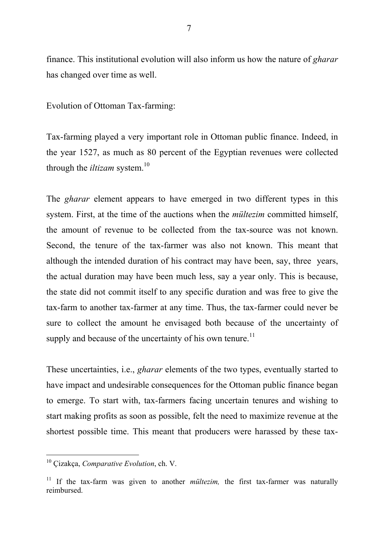finance. This institutional evolution will also inform us how the nature of *gharar* 

Evolution of Ottoman Tax-farming:

has changed over time as well.

Tax-farming played a very important role in Ottoman public finance. Indeed, in the year 1527, as much as 80 percent of the Egyptian revenues were collected through the *iltizam* system.<sup>10</sup>

The *gharar* element appears to have emerged in two different types in this system. First, at the time of the auctions when the *mültezim* committed himself, the amount of revenue to be collected from the tax-source was not known. Second, the tenure of the tax-farmer was also not known. This meant that although the intended duration of his contract may have been, say, three years, the actual duration may have been much less, say a year only. This is because, the state did not commit itself to any specific duration and was free to give the tax-farm to another tax-farmer at any time. Thus, the tax-farmer could never be sure to collect the amount he envisaged both because of the uncertainty of supply and because of the uncertainty of his own tenure.<sup>11</sup>

These uncertainties, i.e., *gharar* elements of the two types, eventually started to have impact and undesirable consequences for the Ottoman public finance began to emerge. To start with, tax-farmers facing uncertain tenures and wishing to start making profits as soon as possible, felt the need to maximize revenue at the shortest possible time. This meant that producers were harassed by these tax-

<sup>10</sup> Çizakça, *Comparative Evolution*, ch. V.

<sup>&</sup>lt;sup>11</sup> If the tax-farm was given to another *mültezim*, the first tax-farmer was naturally reimbursed.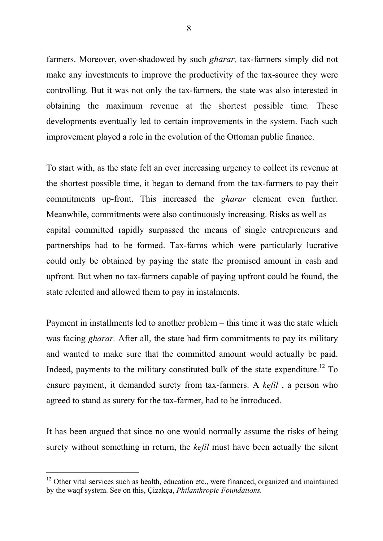farmers. Moreover, over-shadowed by such *gharar,* tax-farmers simply did not make any investments to improve the productivity of the tax-source they were controlling. But it was not only the tax-farmers, the state was also interested in obtaining the maximum revenue at the shortest possible time. These developments eventually led to certain improvements in the system. Each such improvement played a role in the evolution of the Ottoman public finance.

To start with, as the state felt an ever increasing urgency to collect its revenue at the shortest possible time, it began to demand from the tax-farmers to pay their commitments up-front. This increased the *gharar* element even further. Meanwhile, commitments were also continuously increasing. Risks as well as capital committed rapidly surpassed the means of single entrepreneurs and partnerships had to be formed. Tax-farms which were particularly lucrative could only be obtained by paying the state the promised amount in cash and upfront. But when no tax-farmers capable of paying upfront could be found, the state relented and allowed them to pay in instalments.

Payment in installments led to another problem – this time it was the state which was facing *gharar.* After all, the state had firm commitments to pay its military and wanted to make sure that the committed amount would actually be paid. Indeed, payments to the military constituted bulk of the state expenditure.<sup>12</sup> To ensure payment, it demanded surety from tax-farmers. A *kefil* , a person who agreed to stand as surety for the tax-farmer, had to be introduced.

It has been argued that since no one would normally assume the risks of being surety without something in return, the *kefil* must have been actually the silent

 $12$  Other vital services such as health, education etc., were financed, organized and maintained by the waqf system. See on this, Çizakça, *Philanthropic Foundations.*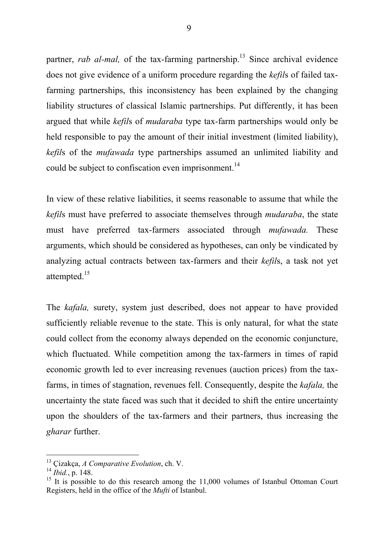partner, *rab al-mal*, of the tax-farming partnership.<sup>13</sup> Since archival evidence does not give evidence of a uniform procedure regarding the *kefil*s of failed taxfarming partnerships, this inconsistency has been explained by the changing liability structures of classical Islamic partnerships. Put differently, it has been argued that while *kefil*s of *mudaraba* type tax-farm partnerships would only be held responsible to pay the amount of their initial investment (limited liability), *kefil*s of the *mufawada* type partnerships assumed an unlimited liability and could be subject to confiscation even imprisonment.<sup>14</sup>

In view of these relative liabilities, it seems reasonable to assume that while the *kefil*s must have preferred to associate themselves through *mudaraba*, the state must have preferred tax-farmers associated through *mufawada.* These arguments, which should be considered as hypotheses, can only be vindicated by analyzing actual contracts between tax-farmers and their *kefil*s, a task not yet attempted.<sup>15</sup>

The *kafala,* surety, system just described, does not appear to have provided sufficiently reliable revenue to the state. This is only natural, for what the state could collect from the economy always depended on the economic conjuncture, which fluctuated. While competition among the tax-farmers in times of rapid economic growth led to ever increasing revenues (auction prices) from the taxfarms, in times of stagnation, revenues fell. Consequently, despite the *kafala,* the uncertainty the state faced was such that it decided to shift the entire uncertainty upon the shoulders of the tax-farmers and their partners, thus increasing the *gharar* further.

<sup>13</sup> Çizakça, *A Comparative Evolution*, ch. V.

<sup>14</sup> *Ibid.*, p. 148.

<sup>&</sup>lt;sup>15</sup> It is possible to do this research among the  $11,000$  volumes of Istanbul Ottoman Court Registers, held in the office of the *Mufti* of Istanbul.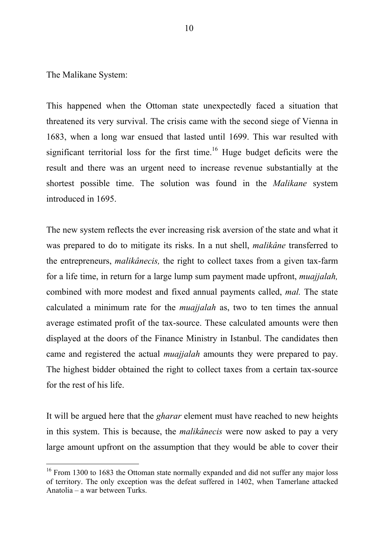The Malikane System:

-

This happened when the Ottoman state unexpectedly faced a situation that threatened its very survival. The crisis came with the second siege of Vienna in 1683, when a long war ensued that lasted until 1699. This war resulted with significant territorial loss for the first time.<sup>16</sup> Huge budget deficits were the result and there was an urgent need to increase revenue substantially at the shortest possible time. The solution was found in the *Malikane* system introduced in 1695.

The new system reflects the ever increasing risk aversion of the state and what it was prepared to do to mitigate its risks. In a nut shell, *malikâne* transferred to the entrepreneurs, *malikânecis,* the right to collect taxes from a given tax-farm for a life time, in return for a large lump sum payment made upfront, *muajjalah,*  combined with more modest and fixed annual payments called, *mal.* The state calculated a minimum rate for the *muajjalah* as, two to ten times the annual average estimated profit of the tax-source. These calculated amounts were then displayed at the doors of the Finance Ministry in Istanbul. The candidates then came and registered the actual *muajjalah* amounts they were prepared to pay. The highest bidder obtained the right to collect taxes from a certain tax-source for the rest of his life.

It will be argued here that the *gharar* element must have reached to new heights in this system. This is because, the *malikânecis* were now asked to pay a very large amount upfront on the assumption that they would be able to cover their

<sup>&</sup>lt;sup>16</sup> From 1300 to 1683 the Ottoman state normally expanded and did not suffer any major loss of territory. The only exception was the defeat suffered in 1402, when Tamerlane attacked Anatolia – a war between Turks.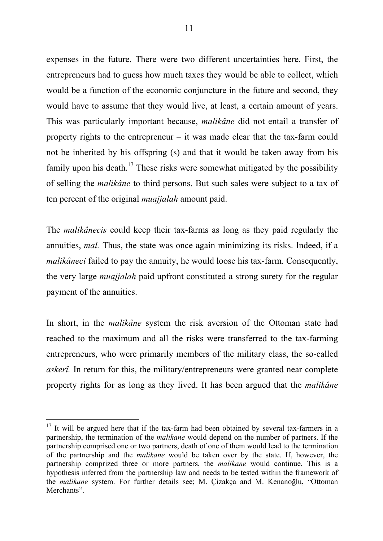expenses in the future. There were two different uncertainties here. First, the entrepreneurs had to guess how much taxes they would be able to collect, which would be a function of the economic conjuncture in the future and second, they would have to assume that they would live, at least, a certain amount of years. This was particularly important because, *malikâne* did not entail a transfer of property rights to the entrepreneur – it was made clear that the tax-farm could not be inherited by his offspring (s) and that it would be taken away from his family upon his death.<sup>17</sup> These risks were somewhat mitigated by the possibility of selling the *malikâne* to third persons. But such sales were subject to a tax of ten percent of the original *muajjalah* amount paid.

The *malikânecis* could keep their tax-farms as long as they paid regularly the annuities, *mal.* Thus, the state was once again minimizing its risks. Indeed, if a *malikâneci* failed to pay the annuity, he would loose his tax-farm. Consequently, the very large *muajjalah* paid upfront constituted a strong surety for the regular payment of the annuities.

In short, in the *malikâne* system the risk aversion of the Ottoman state had reached to the maximum and all the risks were transferred to the tax-farming entrepreneurs, who were primarily members of the military class, the so-called *askerî.* In return for this, the military/entrepreneurs were granted near complete property rights for as long as they lived. It has been argued that the *malikâne* 

 $17$  It will be argued here that if the tax-farm had been obtained by several tax-farmers in a partnership, the termination of the *malikane* would depend on the number of partners. If the partnership comprised one or two partners, death of one of them would lead to the termination of the partnership and the *malikane* would be taken over by the state. If, however, the partnership comprized three or more partners, the *malikane* would continue. This is a hypothesis inferred from the partnership law and needs to be tested within the framework of the *malikane* system. For further details see; M. Çizakça and M. Kenanoğlu, "Ottoman Merchants".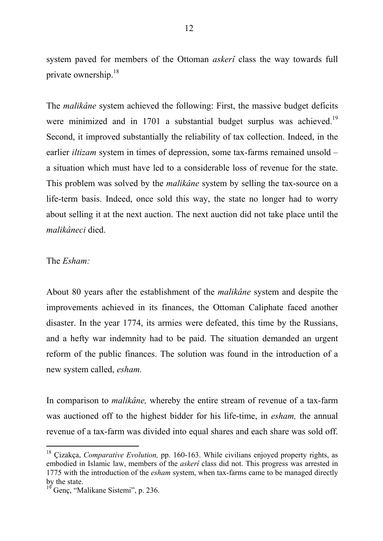system paved for members of the Ottoman *askerî* class the way towards full private ownership.<sup>18</sup>

The *malikâne* system achieved the following: First, the massive budget deficits were minimized and in 1701 a substantial budget surplus was achieved.<sup>19</sup> Second, it improved substantially the reliability of tax collection. Indeed, in the earlier *iltizam* system in times of depression, some tax-farms remained unsold – a situation which must have led to a considerable loss of revenue for the state. This problem was solved by the *malikâne* system by selling the tax-source on a life-term basis. Indeed, once sold this way, the state no longer had to worry about selling it at the next auction. The next auction did not take place until the *malikâneci* died.

#### The *Esham:*

-

About 80 years after the establishment of the *malikâne* system and despite the improvements achieved in its finances, the Ottoman Caliphate faced another disaster. In the year 1774, its armies were defeated, this time by the Russians, and a hefty war indemnity had to be paid. The situation demanded an urgent reform of the public finances. The solution was found in the introduction of a new system called, *esham.* 

In comparison to *malikâne,* whereby the entire stream of revenue of a tax-farm was auctioned off to the highest bidder for his life-time, in *esham,* the annual revenue of a tax-farm was divided into equal shares and each share was sold off.

<sup>18</sup> Çizakça, *Comparative Evolution,* pp. 160-163. While civilians enjoyed property rights, as embodied in Islamic law, members of the *askerî* class did not. This progress was arrested in 1775 with the introduction of the *esham* system, when tax-farms came to be managed directly by the state.

 $19^{\circ}$  Genc, "Malikane Sistemi", p. 236.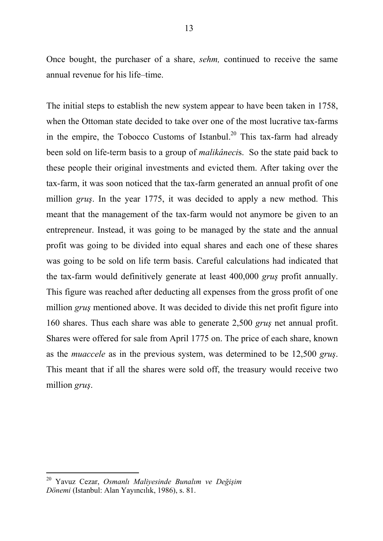Once bought, the purchaser of a share, *sehm,* continued to receive the same annual revenue for his life–time.

The initial steps to establish the new system appear to have been taken in 1758, when the Ottoman state decided to take over one of the most lucrative tax-farms in the empire, the Tobocco Customs of Istanbul.<sup>20</sup> This tax-farm had already been sold on life-term basis to a group of *malikâneci*s. So the state paid back to these people their original investments and evicted them. After taking over the tax-farm, it was soon noticed that the tax-farm generated an annual profit of one million *gruş*. In the year 1775, it was decided to apply a new method. This meant that the management of the tax-farm would not anymore be given to an entrepreneur. Instead, it was going to be managed by the state and the annual profit was going to be divided into equal shares and each one of these shares was going to be sold on life term basis. Careful calculations had indicated that the tax-farm would definitively generate at least 400,000 *gruş* profit annually. This figure was reached after deducting all expenses from the gross profit of one million *grus* mentioned above. It was decided to divide this net profit figure into 160 shares. Thus each share was able to generate 2,500 *gruş* net annual profit. Shares were offered for sale from April 1775 on. The price of each share, known as the *muaccele* as in the previous system, was determined to be 12,500 *gruş*. This meant that if all the shares were sold off, the treasury would receive two million *gruş*.

<sup>20</sup> Yavuz Cezar, *Osmanlı Maliyesinde Bunalım ve Değişim Dönemi* (Istanbul: Alan Yayıncılık, 1986), s. 81.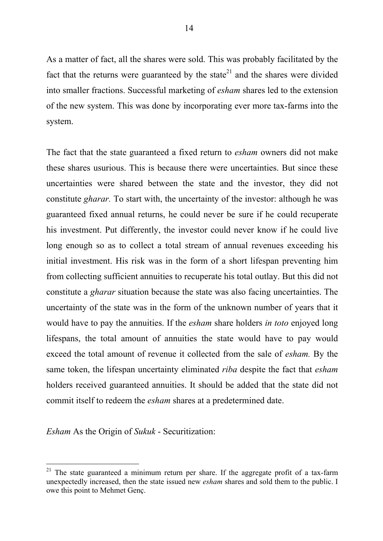As a matter of fact, all the shares were sold. This was probably facilitated by the fact that the returns were guaranteed by the state<sup>21</sup> and the shares were divided into smaller fractions. Successful marketing of *esham* shares led to the extension of the new system. This was done by incorporating ever more tax-farms into the system.

The fact that the state guaranteed a fixed return to *esham* owners did not make these shares usurious. This is because there were uncertainties. But since these uncertainties were shared between the state and the investor, they did not constitute *gharar.* To start with, the uncertainty of the investor: although he was guaranteed fixed annual returns, he could never be sure if he could recuperate his investment. Put differently, the investor could never know if he could live long enough so as to collect a total stream of annual revenues exceeding his initial investment. His risk was in the form of a short lifespan preventing him from collecting sufficient annuities to recuperate his total outlay. But this did not constitute a *gharar* situation because the state was also facing uncertainties. The uncertainty of the state was in the form of the unknown number of years that it would have to pay the annuities. If the *esham* share holders *in toto* enjoyed long lifespans, the total amount of annuities the state would have to pay would exceed the total amount of revenue it collected from the sale of *esham.* By the same token, the lifespan uncertainty eliminated *riba* despite the fact that *esham*  holders received guaranteed annuities. It should be added that the state did not commit itself to redeem the *esham* shares at a predetermined date.

*Esham* As the Origin of *Sukuk* - Securitization:

<sup>-</sup> $21$  The state guaranteed a minimum return per share. If the aggregate profit of a tax-farm unexpectedly increased, then the state issued new *esham* shares and sold them to the public. I owe this point to Mehmet Genç.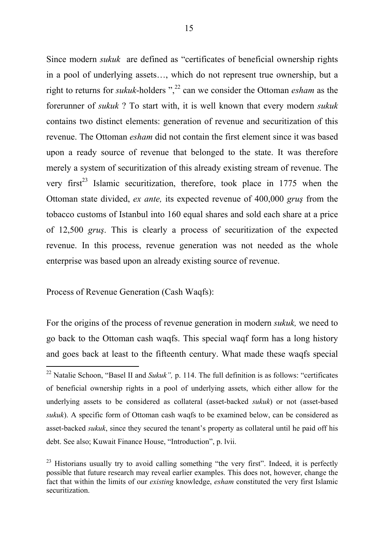Since modern *sukuk* are defined as "certificates of beneficial ownership rights in a pool of underlying assets…, which do not represent true ownership, but a right to returns for *sukuk*-holders ",<sup>22</sup> can we consider the Ottoman *esham* as the forerunner of *sukuk* ? To start with, it is well known that every modern *sukuk*  contains two distinct elements: generation of revenue and securitization of this revenue. The Ottoman *esham* did not contain the first element since it was based upon a ready source of revenue that belonged to the state. It was therefore merely a system of securitization of this already existing stream of revenue. The very first<sup>23</sup> Islamic securitization, therefore, took place in 1775 when the Ottoman state divided, *ex ante,* its expected revenue of 400,000 *gruş* from the tobacco customs of Istanbul into 160 equal shares and sold each share at a price of 12,500 *gruş*. This is clearly a process of securitization of the expected revenue. In this process, revenue generation was not needed as the whole enterprise was based upon an already existing source of revenue.

Process of Revenue Generation (Cash Waqfs):

-

For the origins of the process of revenue generation in modern *sukuk,* we need to go back to the Ottoman cash waqfs. This special waqf form has a long history and goes back at least to the fifteenth century. What made these waqfs special

<sup>&</sup>lt;sup>22</sup> Natalie Schoon, "Basel II and *Sukuk"*, p. 114. The full definition is as follows: "certificates of beneficial ownership rights in a pool of underlying assets, which either allow for the underlying assets to be considered as collateral (asset-backed *sukuk*) or not (asset-based *sukuk*). A specific form of Ottoman cash waqfs to be examined below, can be considered as asset-backed *sukuk*, since they secured the tenant's property as collateral until he paid off his debt. See also; Kuwait Finance House, "Introduction", p. lvii.

 $^{23}$  Historians usually try to avoid calling something "the very first". Indeed, it is perfectly possible that future research may reveal earlier examples. This does not, however, change the fact that within the limits of our *existing* knowledge, *esham* constituted the very first Islamic securitization.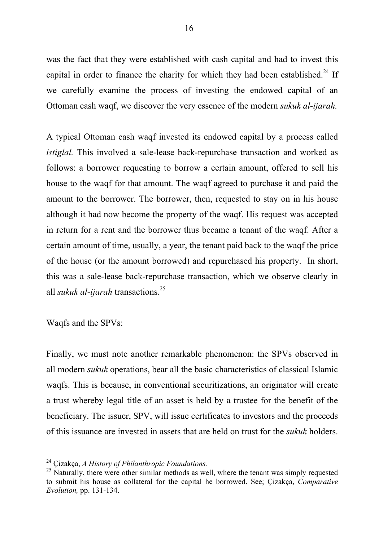was the fact that they were established with cash capital and had to invest this capital in order to finance the charity for which they had been established.<sup>24</sup> If we carefully examine the process of investing the endowed capital of an Ottoman cash waqf, we discover the very essence of the modern *sukuk al-ijarah.* 

A typical Ottoman cash waqf invested its endowed capital by a process called *istiglal.* This involved a sale-lease back-repurchase transaction and worked as follows: a borrower requesting to borrow a certain amount, offered to sell his house to the waqf for that amount. The waqf agreed to purchase it and paid the amount to the borrower. The borrower, then, requested to stay on in his house although it had now become the property of the waqf. His request was accepted in return for a rent and the borrower thus became a tenant of the waqf. After a certain amount of time, usually, a year, the tenant paid back to the waqf the price of the house (or the amount borrowed) and repurchased his property. In short, this was a sale-lease back-repurchase transaction, which we observe clearly in all *sukuk al-ijarah* transactions.<sup>25</sup>

Waqfs and the SPVs:

-

Finally, we must note another remarkable phenomenon: the SPVs observed in all modern *sukuk* operations, bear all the basic characteristics of classical Islamic waqfs. This is because, in conventional securitizations, an originator will create a trust whereby legal title of an asset is held by a trustee for the benefit of the beneficiary. The issuer, SPV, will issue certificates to investors and the proceeds of this issuance are invested in assets that are held on trust for the *sukuk* holders.

<sup>24</sup> Çizakça, *A History of Philanthropic Foundations.* 

 $25$  Naturally, there were other similar methods as well, where the tenant was simply requested to submit his house as collateral for the capital he borrowed. See; Çizakça, *Comparative Evolution,* pp. 131-134.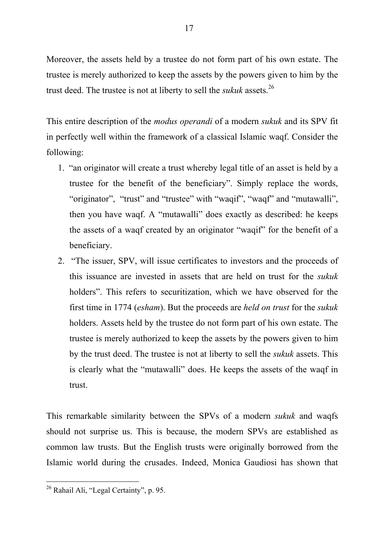Moreover, the assets held by a trustee do not form part of his own estate. The trustee is merely authorized to keep the assets by the powers given to him by the trust deed. The trustee is not at liberty to sell the *sukuk* assets.<sup>26</sup>

This entire description of the *modus operandi* of a modern *sukuk* and its SPV fit in perfectly well within the framework of a classical Islamic waqf. Consider the following:

- 1. "an originator will create a trust whereby legal title of an asset is held by a trustee for the benefit of the beneficiary". Simply replace the words, "originator", "trust" and "trustee" with "waqif", "waqf" and "mutawalli", then you have waqf. A "mutawalli" does exactly as described: he keeps the assets of a waqf created by an originator "waqif" for the benefit of a beneficiary.
- 2. "The issuer, SPV, will issue certificates to investors and the proceeds of this issuance are invested in assets that are held on trust for the *sukuk* holders". This refers to securitization, which we have observed for the first time in 1774 (*esham*). But the proceeds are *held on trust* for the *sukuk*  holders. Assets held by the trustee do not form part of his own estate. The trustee is merely authorized to keep the assets by the powers given to him by the trust deed. The trustee is not at liberty to sell the *sukuk* assets. This is clearly what the "mutawalli" does. He keeps the assets of the waqf in trust.

This remarkable similarity between the SPVs of a modern *sukuk* and waqfs should not surprise us. This is because, the modern SPVs are established as common law trusts. But the English trusts were originally borrowed from the Islamic world during the crusades. Indeed, Monica Gaudiosi has shown that

<sup>-</sup><sup>26</sup> Rahail Ali, "Legal Certainty", p. 95.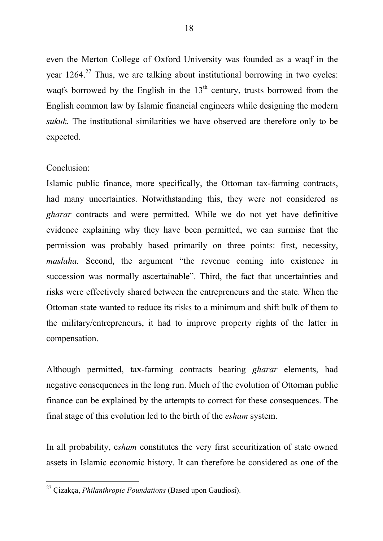even the Merton College of Oxford University was founded as a waqf in the year  $1264$ <sup>27</sup> Thus, we are talking about institutional borrowing in two cycles: waqfs borrowed by the English in the  $13<sup>th</sup>$  century, trusts borrowed from the English common law by Islamic financial engineers while designing the modern *sukuk.* The institutional similarities we have observed are therefore only to be expected.

### Conclusion:

Islamic public finance, more specifically, the Ottoman tax-farming contracts, had many uncertainties. Notwithstanding this, they were not considered as *gharar* contracts and were permitted. While we do not yet have definitive evidence explaining why they have been permitted, we can surmise that the permission was probably based primarily on three points: first, necessity, *maslaha.* Second, the argument "the revenue coming into existence in succession was normally ascertainable". Third, the fact that uncertainties and risks were effectively shared between the entrepreneurs and the state. When the Ottoman state wanted to reduce its risks to a minimum and shift bulk of them to the military/entrepreneurs, it had to improve property rights of the latter in compensation.

Although permitted, tax-farming contracts bearing *gharar* elements, had negative consequences in the long run. Much of the evolution of Ottoman public finance can be explained by the attempts to correct for these consequences. The final stage of this evolution led to the birth of the *esham* system.

In all probability, e*sham* constitutes the very first securitization of state owned assets in Islamic economic history. It can therefore be considered as one of the

<sup>-</sup><sup>27</sup> Çizakça, *Philanthropic Foundations* (Based upon Gaudiosi).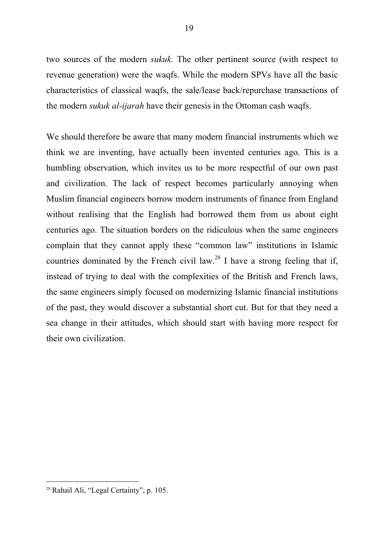two sources of the modern *sukuk.* The other pertinent source (with respect to revenue generation) were the waqfs. While the modern SPVs have all the basic characteristics of classical waqfs, the sale/lease back/repurchase transactions of the modern *sukuk al-ijarah* have their genesis in the Ottoman cash waqfs.

We should therefore be aware that many modern financial instruments which we think we are inventing, have actually been invented centuries ago. This is a humbling observation, which invites us to be more respectful of our own past and civilization. The lack of respect becomes particularly annoying when Muslim financial engineers borrow modern instruments of finance from England without realising that the English had borrowed them from us about eight centuries ago. The situation borders on the ridiculous when the same engineers complain that they cannot apply these "common law" institutions in Islamic countries dominated by the French civil law.<sup>28</sup> I have a strong feeling that if, instead of trying to deal with the complexities of the British and French laws, the same engineers simply focused on modernizing Islamic financial institutions of the past, they would discover a substantial short cut. But for that they need a sea change in their attitudes, which should start with having more respect for their own civilization.

<sup>-</sup><sup>28</sup> Rahail Ali, "Legal Certainty", p. 105.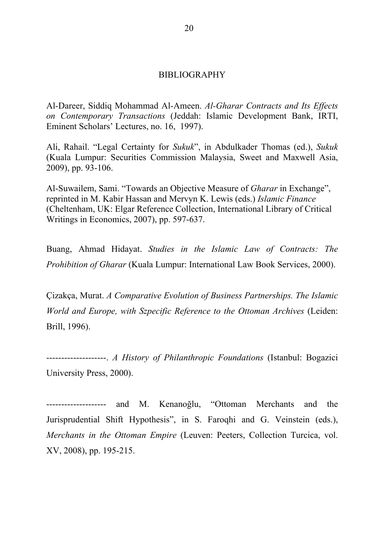#### BIBLIOGRAPHY

Al-Dareer, Siddiq Mohammad Al-Ameen. *Al-Gharar Contracts and Its Effects on Contemporary Transactions* (Jeddah: Islamic Development Bank, IRTI, Eminent Scholars' Lectures, no. 16, 1997).

Ali, Rahail. "Legal Certainty for *Sukuk*", in Abdulkader Thomas (ed.), *Sukuk*  (Kuala Lumpur: Securities Commission Malaysia, Sweet and Maxwell Asia, 2009), pp. 93-106.

Al-Suwailem, Sami. "Towards an Objective Measure of *Gharar* in Exchange", reprinted in M. Kabir Hassan and Mervyn K. Lewis (eds.) *Islamic Finance*  (Cheltenham, UK: Elgar Reference Collection, International Library of Critical Writings in Economics, 2007), pp. 597-637.

Buang, Ahmad Hidayat. *Studies in the Islamic Law of Contracts: The Prohibition of Gharar* (Kuala Lumpur: International Law Book Services, 2000).

Çizakça, Murat. *A Comparative Evolution of Business Partnerships. The Islamic World and Europe, with Szpecific Reference to the Ottoman Archives* (Leiden: Brill, 1996).

--------------------. *A History of Philanthropic Foundations* (Istanbul: Bogazici University Press, 2000).

and M. Kenanoğlu, "Ottoman Merchants and the Jurisprudential Shift Hypothesis", in S. Faroqhi and G. Veinstein (eds.), *Merchants in the Ottoman Empire* (Leuven: Peeters, Collection Turcica, vol. XV, 2008), pp. 195-215.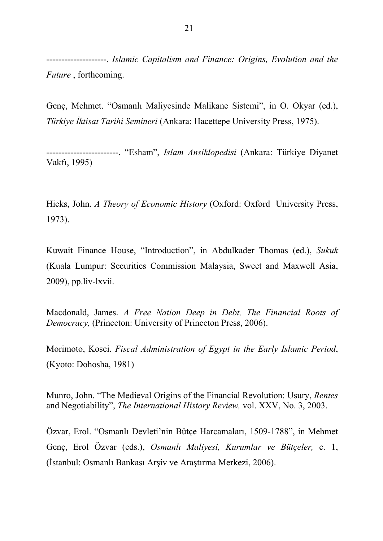--------------------. *Islamic Capitalism and Finance: Origins, Evolution and the Future* , forthcoming.

Genç, Mehmet. "Osmanlı Maliyesinde Malikane Sistemi", in O. Okyar (ed.), *Türkiye İktisat Tarihi Semineri* (Ankara: Hacettepe University Press, 1975).

------------------------. "Esham", *Islam Ansiklopedisi* (Ankara: Türkiye Diyanet Vakfı, 1995)

Hicks, John. *A Theory of Economic History* (Oxford: Oxford University Press, 1973).

Kuwait Finance House, "Introduction", in Abdulkader Thomas (ed.), *Sukuk*  (Kuala Lumpur: Securities Commission Malaysia, Sweet and Maxwell Asia, 2009), pp.liv-lxvii.

Macdonald, James. *A Free Nation Deep in Debt, The Financial Roots of Democracy,* (Princeton: University of Princeton Press, 2006).

Morimoto, Kosei. *Fiscal Administration of Egypt in the Early Islamic Period*, (Kyoto: Dohosha, 1981)

Munro, John. "The Medieval Origins of the Financial Revolution: Usury, *Rentes*  and Negotiability", *The International History Review,* vol. XXV, No. 3, 2003.

Özvar, Erol. "Osmanlı Devleti'nin Bütçe Harcamaları, 1509-1788", in Mehmet Genç, Erol Özvar (eds.), *Osmanlı Maliyesi, Kurumlar ve Bütçeler,* c. 1, (İstanbul: Osmanlı Bankası Arşiv ve Araştırma Merkezi, 2006).